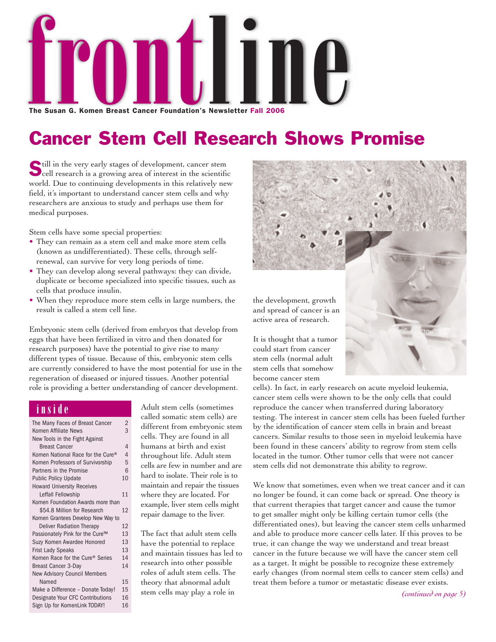

Cancer Stem Cell Research Shows Promise

Still in the very early stages of development, cancer stem<br>cell research is a growing area of interest in the scientific world. Due to continuing developments in this relatively new field, it's important to understand cancer stem cells and why researchers are anxious to study and perhaps use them for medical purposes.

Stem cells have some special properties:

- They can remain as a stem cell and make more stem cells (known as undifferentiated). These cells, through selfrenewal, can survive for very long periods of time.
- They can develop along several pathways: they can divide, duplicate or become specialized into specific tissues, such as cells that produce insulin.
- When they reproduce more stem cells in large numbers, the result is called a stem cell line.

Embryonic stem cells (derived from embryos that develop from eggs that have been fertilized in vitro and then donated for research purposes) have the potential to give rise to many different types of tissue. Because of this, embryonic stem cells are currently considered to have the most potential for use in the regeneration of diseased or injured tissues. Another potential role is providing a better understanding of cancer development.

### **inside**

| The Many Faces of Breast Cancer             | $\overline{2}$ |
|---------------------------------------------|----------------|
| Komen Affiliate News                        | 3              |
| New Tools in the Fight Against              |                |
| <b>Breast Cancer</b>                        | $\overline{A}$ |
| Komen National Race for the Cure®           | $\overline{4}$ |
| Komen Professors of Survivorship            | 5              |
| Partners in the Promise                     | 6              |
| <b>Public Policy Update</b>                 | 10             |
| <b>Howard University Receives</b>           |                |
| Leffall Fellowship                          | 11             |
| Komen Foundation Awards more than           |                |
| \$54.8 Million for Research                 | 12             |
| Komen Grantees Develop New Way to           |                |
| <b>Deliver Radiation Therapy</b>            | 12             |
| Passionately Pink for the Cure™             | 13             |
| Suzy Komen Awardee Honored                  | 13             |
| <b>Frist Lady Speaks</b>                    | 13             |
| Komen Race for the Cure <sup>®</sup> Series | 14             |
| <b>Breast Cancer 3-Day</b>                  | 14             |
| <b>New Advisory Council Members</b>         |                |
| Named                                       | 15             |
| Make a Difference - Donate Today!           | 15             |
| Designate Your CFC Contributions            | 16             |
| Sign Up for KomenLink TODAY!                | 16             |

Adult stem cells (sometimes called somatic stem cells) are different from embryonic stem cells. They are found in all humans at birth and exist throughout life. Adult stem cells are few in number and are hard to isolate. Their role is to maintain and repair the tissues where they are located. For example, liver stem cells might repair damage to the liver.

The fact that adult stem cells have the potential to replace and maintain tissues has led to research into other possible roles of adult stem cells. The theory that abnormal adult stem cells may play a role in



become cancer stem cells). In fact, in early research on acute myeloid leukemia, cancer stem cells were shown to be the only cells that could reproduce the cancer when transferred during laboratory testing. The interest in cancer stem cells has been fueled further by the identification of cancer stem cells in brain and breast cancers. Similar results to those seen in myeloid leukemia have been found in these cancers' ability to regrow from stem cells located in the tumor. Other tumor cells that were not cancer stem cells did not demonstrate this ability to regrow.

stem cells that somehow

We know that sometimes, even when we treat cancer and it can no longer be found, it can come back or spread. One theory is that current therapies that target cancer and cause the tumor to get smaller might only be killing certain tumor cells (the differentiated ones), but leaving the cancer stem cells unharmed and able to produce more cancer cells later. If this proves to be true, it can change the way we understand and treat breast cancer in the future because we will have the cancer stem cell as a target. It might be possible to recognize these extremely early changes (from normal stem cells to cancer stem cells) and treat them before a tumor or metastatic disease ever exists.

*(continued on page 5)*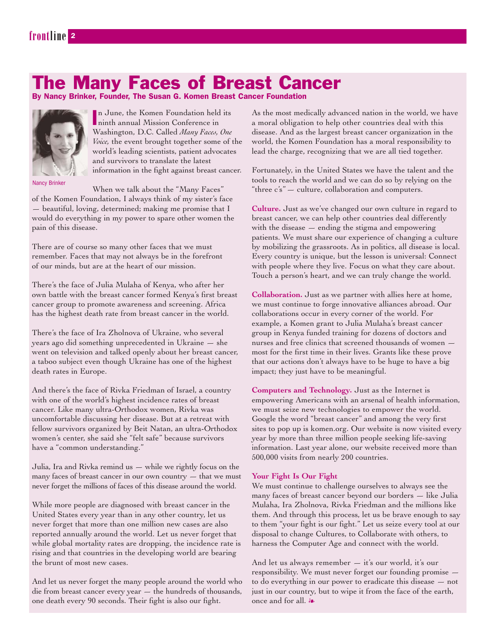### The Many Faces of Breast Cancer

By Nancy Brinker, Founder, The Susan G. Komen Breast Cancer Foundation



In June, the Komen Foundation held<br>
ninth annual Mission Conference in n June, the Komen Foundation held its Washington, D.C. Called *Many Faces, One Voice,* the event brought together some of the world's leading scientists, patient advocates and survivors to translate the latest information in the fight against breast cancer.

Nancy Brinker

When we talk about the "Many Faces" of the Komen Foundation, I always think of my sister's face — beautiful, loving, determined; making me promise that I would do everything in my power to spare other women the pain of this disease.

There are of course so many other faces that we must remember. Faces that may not always be in the forefront of our minds, but are at the heart of our mission.

There's the face of Julia Mulaha of Kenya, who after her own battle with the breast cancer formed Kenya's first breast cancer group to promote awareness and screening. Africa has the highest death rate from breast cancer in the world.

There's the face of Ira Zholnova of Ukraine, who several years ago did something unprecedented in Ukraine — she went on television and talked openly about her breast cancer, a taboo subject even though Ukraine has one of the highest death rates in Europe.

And there's the face of Rivka Friedman of Israel, a country with one of the world's highest incidence rates of breast cancer. Like many ultra-Orthodox women, Rivka was uncomfortable discussing her disease. But at a retreat with fellow survivors organized by Beit Natan, an ultra-Orthodox women's center, she said she "felt safe" because survivors have a "common understanding."

Julia, Ira and Rivka remind us — while we rightly focus on the many faces of breast cancer in our own country — that we must never forget the millions of faces of this disease around the world.

While more people are diagnosed with breast cancer in the United States every year than in any other country, let us never forget that more than one million new cases are also reported annually around the world. Let us never forget that while global mortality rates are dropping, the incidence rate is rising and that countries in the developing world are bearing the brunt of most new cases.

And let us never forget the many people around the world who die from breast cancer every year — the hundreds of thousands, one death every 90 seconds. Their fight is also our fight.

As the most medically advanced nation in the world, we have a moral obligation to help other countries deal with this disease. And as the largest breast cancer organization in the world, the Komen Foundation has a moral responsibility to lead the charge, recognizing that we are all tied together.

Fortunately, in the United States we have the talent and the tools to reach the world and we can do so by relying on the "three c's" — culture, collaboration and computers.

**Culture.** Just as we've changed our own culture in regard to breast cancer, we can help other countries deal differently with the disease  $-$  ending the stigma and empowering patients. We must share our experience of changing a culture by mobilizing the grassroots. As in politics, all disease is local. Every country is unique, but the lesson is universal: Connect with people where they live. Focus on what they care about. Touch a person's heart, and we can truly change the world.

**Collaboration.** Just as we partner with allies here at home, we must continue to forge innovative alliances abroad. Our collaborations occur in every corner of the world. For example, a Komen grant to Julia Mulaha's breast cancer group in Kenya funded training for dozens of doctors and nurses and free clinics that screened thousands of women most for the first time in their lives. Grants like these prove that our actions don't always have to be huge to have a big impact; they just have to be meaningful.

**Computers and Technology.** Just as the Internet is empowering Americans with an arsenal of health information, we must seize new technologies to empower the world. Google the word "breast cancer" and among the very first sites to pop up is komen.org. Our website is now visited every year by more than three million people seeking life-saving information. Last year alone, our website received more than 500,000 visits from nearly 200 countries.

#### **Your Fight Is Our Fight**

We must continue to challenge ourselves to always see the many faces of breast cancer beyond our borders — like Julia Mulaha, Ira Zholnova, Rivka Friedman and the millions like them. And through this process, let us be brave enough to say to them "your fight is our fight." Let us seize every tool at our disposal to change Cultures, to Collaborate with others, to harness the Computer Age and connect with the world.

And let us always remember — it's our world, it's our responsibility. We must never forget our founding promise to do everything in our power to eradicate this disease — not just in our country, but to wipe it from the face of the earth, once and for all.  $\clubsuit$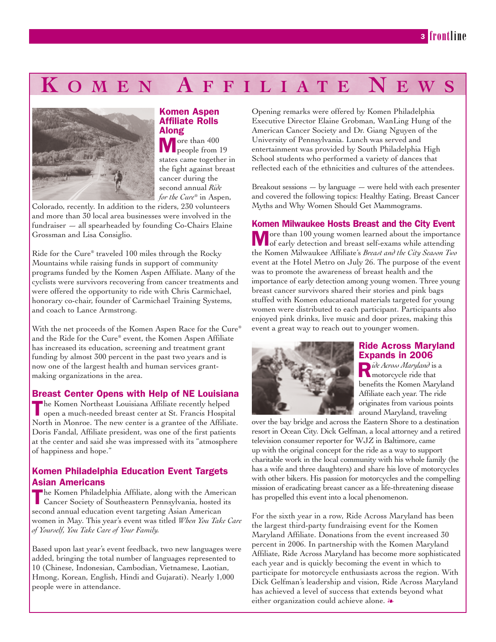## **KOMEN AFFILIATE NE**



#### Komen Aspen Affiliate Rolls Along

More than 400 people from 19 states came together in the fight against breast cancer during the second annual *Ride for the Cure®* in Aspen,

Colorado, recently. In addition to the riders, 230 volunteers and more than 30 local area businesses were involved in the fundraiser — all spearheaded by founding Co-Chairs Elaine Grossman and Lisa Consiglio.

Ride for the Cure® traveled 100 miles through the Rocky Mountains while raising funds in support of community programs funded by the Komen Aspen Affiliate. Many of the cyclists were survivors recovering from cancer treatments and were offered the opportunity to ride with Chris Carmichael, honorary co-chair, founder of Carmichael Training Systems, and coach to Lance Armstrong.

With the net proceeds of the Komen Aspen Race for the Cure® and the Ride for the Cure® event, the Komen Aspen Affiliate has increased its education, screening and treatment grant funding by almost 300 percent in the past two years and is now one of the largest health and human services grantmaking organizations in the area.

### Breast Center Opens with Help of NE Louisiana

The Komen Northeast Louisiana Affiliate recently helped open a much-needed breast center at St. Francis Hospital North in Monroe. The new center is a grantee of the Affiliate. Doris Fandal, Affiliate president, was one of the first patients at the center and said she was impressed with its "atmosphere of happiness and hope."

### Komen Philadelphia Education Event Targets Asian Americans

The Komen Philadelphia Affiliate, along with the American Cancer Society of Southeastern Pennsylvania, hosted its second annual education event targeting Asian American women in May. This year's event was titled *When You Take Care of Yourself, You Take Care of Your Family.*

Based upon last year's event feedback, two new languages were added, bringing the total number of languages represented to 10 (Chinese, Indonesian, Cambodian, Vietnamese, Laotian, Hmong, Korean, English, Hindi and Gujarati). Nearly 1,000 people were in attendance.

Opening remarks were offered by Komen Philadelphia Executive Director Elaine Grobman, WanLing Hung of the American Cancer Society and Dr. Giang Nguyen of the University of Pennsylvania. Lunch was served and entertainment was provided by South Philadelphia High School students who performed a variety of dances that reflected each of the ethnicities and cultures of the attendees.

Breakout sessions — by language — were held with each presenter and covered the following topics: Healthy Eating, Breast Cancer Myths and Why Women Should Get Mammograms.

### Komen Milwaukee Hosts Breast and the City Event

More than 100 young women learned about the importance of early detection and breast self-exams while attending the Komen Milwaukee Affiliate's *Breast and the City Season Two* event at the Hotel Metro on July 26. The purpose of the event was to promote the awareness of breast health and the importance of early detection among young women. Three young breast cancer survivors shared their stories and pink bags stuffed with Komen educational materials targeted for young women were distributed to each participant. Participants also enjoyed pink drinks, live music and door prizes, making this event a great way to reach out to younger women.



### Ride Across Maryland Expands in 2006

R*ide Across Maryland* is a motorcycle ride that benefits the Komen Maryland Affiliate each year. The ride originates from various points around Maryland, traveling

over the bay bridge and across the Eastern Shore to a destination resort in Ocean City. Dick Gelfman, a local attorney and a retired television consumer reporter for WJZ in Baltimore, came up with the original concept for the ride as a way to support charitable work in the local community with his whole family (he has a wife and three daughters) and share his love of motorcycles with other bikers. His passion for motorcycles and the compelling mission of eradicating breast cancer as a life-threatening disease has propelled this event into a local phenomenon.

For the sixth year in a row, Ride Across Maryland has been the largest third-party fundraising event for the Komen Maryland Affiliate. Donations from the event increased 30 percent in 2006. In partnership with the Komen Maryland Affiliate, Ride Across Maryland has become more sophisticated each year and is quickly becoming the event in which to participate for motorcycle enthusiasts across the region. With Dick Gelfman's leadership and vision, Ride Across Maryland has achieved a level of success that extends beyond what either organization could achieve alone.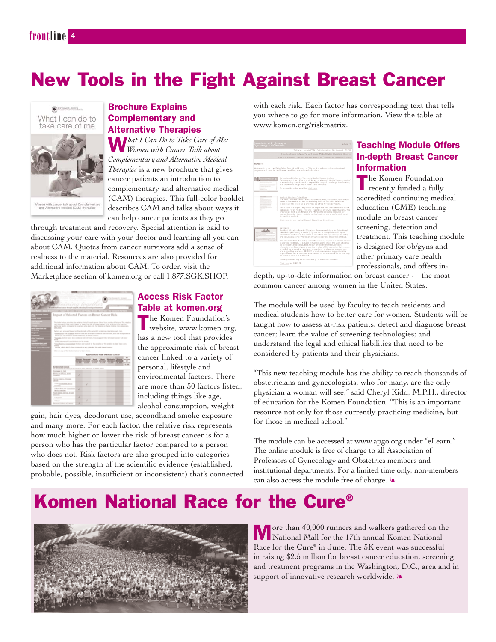## New Tools in the Fight Against Breast Cancer



### Brochure Explains Complementary and Alternative Therapies

W*hat I Can Do to Take Care of Me: Women with Cancer Talk about Complementary and Alternative Medical Therapies* is a new brochure that gives cancer patients an introduction to complementary and alternative medical (CAM) therapies. This full-color booklet describes CAM and talks about ways it can help cancer patients as they go

through treatment and recovery. Special attention is paid to discussing your care with your doctor and learning all you can about CAM. Quotes from cancer survivors add a sense of realness to the material. Resources are also provided for additional information about CAM. To order, visit the Marketplace section of komen.org or call 1.877.SGK.SHOP.



### Access Risk Factor Table at komen.org

The Komen Foundation's website, www.komen.org, has a new tool that provides the approximate risk of breast cancer linked to a variety of personal, lifestyle and environmental factors. There are more than 50 factors listed, including things like age, alcohol consumption, weight

gain, hair dyes, deodorant use, secondhand smoke exposure and many more. For each factor, the relative risk represents how much higher or lower the risk of breast cancer is for a person who has the particular factor compared to a person who does not. Risk factors are also grouped into categories based on the strength of the scientific evidence (established, probable, possible, insufficient or inconsistent) that's connected with each risk. Each factor has corresponding text that tells you where to go for more information. View the table at www.komen.org/riskmatrix.



### Teaching Module Offers In-depth Breast Cancer Information

The Komen Foundation recently funded a fully accredited continuing medical education (CME) teaching module on breast cancer screening, detection and treatment. This teaching module is designed for ob/gyns and other primary care health professionals, and offers in-

depth, up-to-date information on breast cancer — the most common cancer among women in the United States.

The module will be used by faculty to teach residents and medical students how to better care for women. Students will be taught how to assess at-risk patients; detect and diagnose breast cancer; learn the value of screening technologies; and understand the legal and ethical liabilities that need to be considered by patients and their physicians.

"This new teaching module has the ability to reach thousands of obstetricians and gynecologists, who for many, are the only physician a woman will see," said Cheryl Kidd, M.P.H., director of education for the Komen Foundation. "This is an important resource not only for those currently practicing medicine, but for those in medical school."

The module can be accessed at www.apgo.org under "eLearn." The online module is free of charge to all Association of Professors of Gynecology and Obstetrics members and institutional departments. For a limited time only, non-members can also access the module free of charge.  $\lambda$ 

## Komen National Race for the Cure®



More than 40,000 runners and walkers gathered on the National Mall for the 17th annual Komen National Race for the Cure® in June. The 5K event was successful in raising \$2.5 million for breast cancer education, screening and treatment programs in the Washington, D.C., area and in support of innovative research worldwide.  $\clubsuit$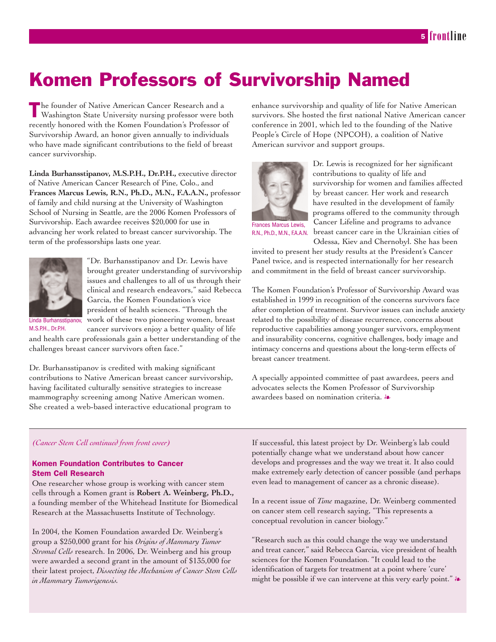## Komen Professors of Survivorship Named

The founder of Native American Cancer Research and a Washington State University nursing professor were both recently honored with the Komen Foundation's Professor of Survivorship Award, an honor given annually to individuals who have made significant contributions to the field of breast cancer survivorship.

**Linda Burhansstipanov, M.S.P.H., Dr.P.H.,** executive director of Native American Cancer Research of Pine, Colo., and **Frances Marcus Lewis, R.N., Ph.D., M.N., F.A.A.N.,** professor of family and child nursing at the University of Washington School of Nursing in Seattle, are the 2006 Komen Professors of Survivorship. Each awardee receives \$20,000 for use in advancing her work related to breast cancer survivorship. The term of the professorships lasts one year.



"Dr. Burhansstipanov and Dr. Lewis have brought greater understanding of survivorship issues and challenges to all of us through their clinical and research endeavors," said Rebecca Garcia, the Komen Foundation's vice president of health sciences. "Through the work of these two pioneering women, breast cancer survivors enjoy a better quality of life

Linda Burhansstipanov, M.S.P.H., Dr.P.H.

and health care professionals gain a better understanding of the challenges breast cancer survivors often face."

Dr. Burhansstipanov is credited with making significant contributions to Native American breast cancer survivorship, having facilitated culturally sensitive strategies to increase mammography screening among Native American women. She created a web-based interactive educational program to

enhance survivorship and quality of life for Native American survivors. She hosted the first national Native American cancer conference in 2001, which led to the founding of the Native People's Circle of Hope (NPCOH), a coalition of Native American survivor and support groups.



Dr. Lewis is recognized for her significant contributions to quality of life and survivorship for women and families affected by breast cancer. Her work and research have resulted in the development of family programs offered to the community through Cancer Lifeline and programs to advance breast cancer care in the Ukrainian cities of Odessa, Kiev and Chernobyl. She has been

R.N., Ph.D., M.N., F.A.A.N.

invited to present her study results at the President's Cancer Panel twice, and is respected internationally for her research and commitment in the field of breast cancer survivorship.

The Komen Foundation's Professor of Survivorship Award was established in 1999 in recognition of the concerns survivors face after completion of treatment. Survivor issues can include anxiety related to the possibility of disease recurrence, concerns about reproductive capabilities among younger survivors, employment and insurability concerns, cognitive challenges, body image and intimacy concerns and questions about the long-term effects of breast cancer treatment.

A specially appointed committee of past awardees, peers and advocates selects the Komen Professor of Survivorship awardees based on nomination criteria.  $\clubsuit$ 

#### *(Cancer Stem Cell continued from front cover)*

#### Komen Foundation Contributes to Cancer Stem Cell Research

One researcher whose group is working with cancer stem cells through a Komen grant is **Robert A. Weinberg, Ph.D.,** a founding member of the Whitehead Institute for Biomedical Research at the Massachusetts Institute of Technology.

In 2004, the Komen Foundation awarded Dr. Weinberg's group a \$250,000 grant for his *Origins of Mammary Tumor Stromal Cells* research. In 2006, Dr. Weinberg and his group were awarded a second grant in the amount of \$135,000 for their latest project, *Dissecting the Mechanism of Cancer Stem Cells in Mammary Tumorigenesis.*

If successful, this latest project by Dr. Weinberg's lab could potentially change what we understand about how cancer develops and progresses and the way we treat it. It also could make extremely early detection of cancer possible (and perhaps even lead to management of cancer as a chronic disease).

In a recent issue of *Time* magazine, Dr. Weinberg commented on cancer stem cell research saying, "This represents a conceptual revolution in cancer biology."

"Research such as this could change the way we understand and treat cancer," said Rebecca Garcia, vice president of health sciences for the Komen Foundation. "It could lead to the identification of targets for treatment at a point where 'cure' might be possible if we can intervene at this very early point."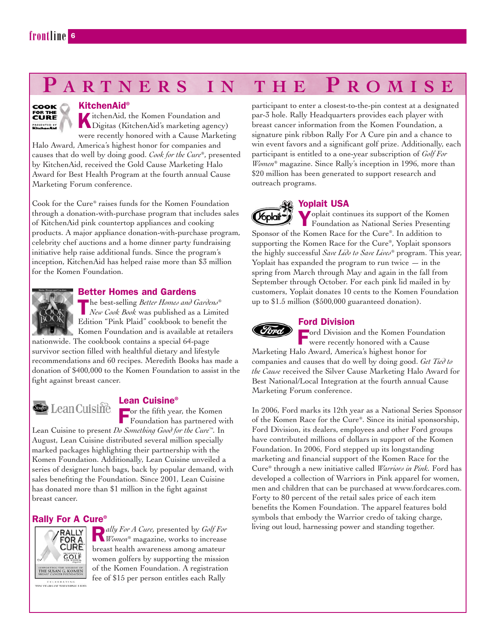### соок FOR THE<br>**CURE**

KitchenAid®<br>KitchenAid, the Komen Foundation and KitchenAid, the Komen Foundation and<br>Digitas (KitchenAid's marketing agency) were recently honored with a Cause Marketing Halo Award, America's highest honor for companies and causes that do well by doing good. *Cook for the Cure®*, presented by KitchenAid, received the Gold Cause Marketing Halo Award for Best Health Program at the fourth annual Cause Marketing Forum conference.

Cook for the Cure® raises funds for the Komen Foundation through a donation-with-purchase program that includes sales of KitchenAid pink countertop appliances and cooking products. A major appliance donation-with-purchase program, celebrity chef auctions and a home dinner party fundraising initiative help raise additional funds. Since the program's inception, KitchenAid has helped raise more than \$3 million for the Komen Foundation.



### Better Homes and Gardens

The best-selling *Better Homes and Gardens® New Cook Book* was published as a Limited Edition "Pink Plaid" cookbook to benefit the Komen Foundation and is available at retailers

nationwide. The cookbook contains a special 64-page survivor section filled with healthful dietary and lifestyle recommendations and 60 recipes. Meredith Books has made a donation of \$400,000 to the Komen Foundation to assist in the fight against breast cancer.



### Lean Cuisine®

For the fifth year, the Komen Foundation has partnered with Lean Cuisine to present *Do Something Good for the Cure™.* In

August, Lean Cuisine distributed several million specially marked packages highlighting their partnership with the Komen Foundation. Additionally, Lean Cuisine unveiled a series of designer lunch bags, back by popular demand, with sales benefiting the Foundation. Since 2001, Lean Cuisine has donated more than \$1 million in the fight against breast cancer.

### Rally For A Cure®



R*ally For A Cure,* presented by *Golf For Women®* magazine, works to increase breast health awareness among amateur women golfers by supporting the mission of the Komen Foundation. A registration fee of \$15 per person entitles each Rally

participant to enter a closest-to-the-pin contest at a designated par-3 hole. Rally Headquarters provides each player with breast cancer information from the Komen Foundation, a signature pink ribbon Rally For A Cure pin and a chance to win event favors and a significant golf prize. Additionally, each participant is entitled to a one-year subscription of *Golf For Women®* magazine. Since Rally's inception in 1996, more than \$20 million has been generated to support research and outreach programs.



### Yoplait USA

Yoplait continues its support of the Komen (*V*oplail\* Foundation as National Series Presenting Sponsor of the Komen Race for the Cure®. In addition to supporting the Komen Race for the Cure®, Yoplait sponsors the highly successful *Save Lids to Save Lives®* program. This year, Yoplait has expanded the program to run twice  $-$  in the spring from March through May and again in the fall from September through October. For each pink lid mailed in by customers, Yoplait donates 10 cents to the Komen Foundation up to \$1.5 million (\$500,000 guaranteed donation).

### Ford Division

Ford Division and the Komen Foundation<br>were recently honored with a Cause were recently honored with a Cause Marketing Halo Award, America's highest honor for companies and causes that do well by doing good. *Get Tied to the Cause* received the Silver Cause Marketing Halo Award for Best National/Local Integration at the fourth annual Cause Marketing Forum conference.

In 2006, Ford marks its 12th year as a National Series Sponsor of the Komen Race for the Cure®. Since its initial sponsorship, Ford Division, its dealers, employees and other Ford groups have contributed millions of dollars in support of the Komen Foundation. In 2006, Ford stepped up its longstanding marketing and financial support of the Komen Race for the Cure® through a new initiative called *Warriors in Pink.* Ford has developed a collection of Warriors in Pink apparel for women, men and children that can be purchased at www.fordcares.com. Forty to 80 percent of the retail sales price of each item benefits the Komen Foundation. The apparel features bold symbols that embody the Warrior credo of taking charge, living out loud, harnessing power and standing together.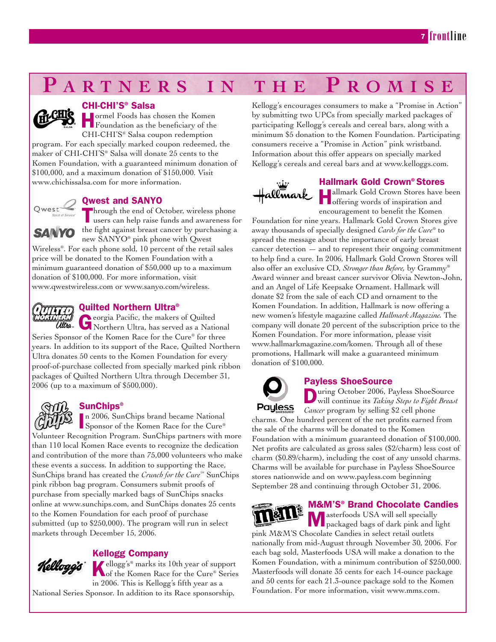### CHI-CHI'S® Salsa

**Hormel Foods has chosen the Komen**<br>**Foundation as the beneficiary of the** CHI-CHI'S® Salsa coupon redemption program. For each specially marked coupon redeemed, the maker of CHI-CHI'S® Salsa will donate 25 cents to the Komen Foundation, with a guaranteed minimum donation of \$100,000, and a maximum donation of \$150,000. Visit www.chichissalsa.com for more information.

Qwest and SANYO

Through the end of October, wireless phone users can help raise funds and awareness for **SANYO** the fight against breast cancer by purchasing a new SANYO® pink phone with Qwest

Wireless®. For each phone sold, 10 percent of the retail sales price will be donated to the Komen Foundation with a minimum guaranteed donation of \$50,000 up to a maximum donation of \$100,000. For more information, visit www.qwestwireless.com or www.sanyo.com/wireless.



### Quilted Northern Ultra®

Georgia Pacific, the makers of Quilted Northern Ultra, has served as a National Series Sponsor of the Komen Race for the Cure® for three years. In addition to its support of the Race, Quilted Northern Ultra donates 50 cents to the Komen Foundation for every proof-of-purchase collected from specially marked pink ribbon packages of Quilted Northern Ultra through December 31, 2006 (up to a maximum of \$500,000).



### **SunChips®**

In 2006, SunChips brand became National<br>Sponsor of the Komen Race for the Cure® n 2006, SunChips brand became National Volunteer Recognition Program. SunChips partners with more than 110 local Komen Race events to recognize the dedication and contribution of the more than 75,000 volunteers who make these events a success. In addition to supporting the Race, SunChips brand has created the *Crunch for the Cure™* SunChips pink ribbon bag program. Consumers submit proofs of purchase from specially marked bags of SunChips snacks online at www.sunchips.com, and SunChips donates 25 cents to the Komen Foundation for each proof of purchase submitted (up to \$250,000). The program will run in select markets through December 15, 2006.



### Kellogg Company

Kellogg's® marks its 10th year of support<br>
of the Komen Race for the Cure® Series in 2006. This is Kellogg's fifth year as a

National Series Sponsor. In addition to its Race sponsorship,

Kellogg's encourages consumers to make a "Promise in Action" by submitting two UPCs from specially marked packages of participating Kellogg's cereals and cereal bars, along with a minimum \$5 donation to the Komen Foundation. Participating consumers receive a "Promise in Action" pink wristband. Information about this offer appears on specially marked Kellogg's cereals and cereal bars and at www.kelloggs.com.



### Hallmark Gold Crown® Stores

Hallmark Gold Crown Stores have been offering words of inspiration and encouragement to benefit the Komen

Foundation for nine years. Hallmark Gold Crown Stores give away thousands of specially designed *Cards for the Cure®* to spread the message about the importance of early breast cancer detection — and to represent their ongoing commitment to help find a cure. In 2006, Hallmark Gold Crown Stores will also offer an exclusive CD, *Stronger than Before,* by Grammy® Award winner and breast cancer survivor Olivia Newton-John, and an Angel of Life Keepsake Ornament. Hallmark will donate \$2 from the sale of each CD and ornament to the Komen Foundation. In addition, Hallmark is now offering a new women's lifestyle magazine called *Hallmark Magazine.* The company will donate 20 percent of the subscription price to the Komen Foundation. For more information, please visit www.hallmarkmagazine.com/komen. Through all of these promotions, Hallmark will make a guaranteed minimum donation of \$100,000.



### Payless ShoeSource

During October 2006, Payless ShoeSource will continue its *Taking Steps to Fight Breast Cancer* program by selling \$2 cell phone

charms. One hundred percent of the net profits earned from the sale of the charms will be donated to the Komen Foundation with a minimum guaranteed donation of \$100,000. Net profits are calculated as gross sales (\$2/charm) less cost of charm (\$0.89/charm), including the cost of any unsold charms. Charms will be available for purchase in Payless ShoeSource stores nationwide and on www.payless.com beginning September 28 and continuing through October 31, 2006.



### M&M'S® Brand Chocolate Candies

Masterfoods USA will sell specially packaged bags of dark pink and light pink M&M'S Chocolate Candies in select retail outlets nationally from mid-August through November 30, 2006. For each bag sold, Masterfoods USA will make a donation to the Komen Foundation, with a minimum contribution of \$250,000. Masterfoods will donate 35 cents for each 14-ounce package and 50 cents for each 21.3-ounce package sold to the Komen Foundation. For more information, visit www.mms.com.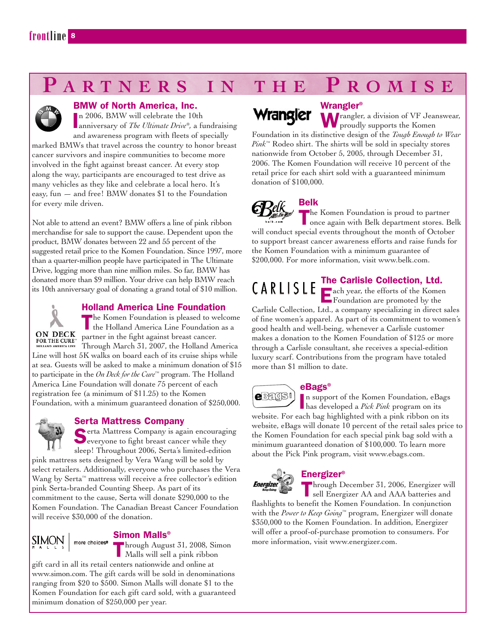

### BMW of North America, Inc.

n 2006, BMW will celebrate the 10th

In 2006, BMW will celebrate the 10th<br>anniversary of *The Ultimate Drive®*, a fundraising and awareness program with fleets of specially marked BMWs that travel across the country to honor breast cancer survivors and inspire communities to become more involved in the fight against breast cancer. At every stop along the way, participants are encouraged to test drive as many vehicles as they like and celebrate a local hero. It's easy, fun — and free! BMW donates \$1 to the Foundation for every mile driven.

Not able to attend an event? BMW offers a line of pink ribbon merchandise for sale to support the cause. Dependent upon the product, BMW donates between 22 and 55 percent of the suggested retail price to the Komen Foundation. Since 1997, more than a quarter-million people have participated in The Ultimate Drive, logging more than nine million miles. So far, BMW has donated more than \$9 million. Your drive can help BMW reach its 10th anniversary goal of donating a grand total of \$10 million.



### Holland America Line Foundation

The Komen Foundation is pleased to welcome the Holland America Line Foundation as a **ON DECK** partner in the fight against breast cancer. FOR THE CURE PAILLEL III LIL LIBRARY THROUGH MARCH 31, 2007, the Holland America Line will host 5K walks on board each of its cruise ships while at sea. Guests will be asked to make a minimum donation of \$15 to participate in the *On Deck for the Cure™* program. The Holland America Line Foundation will donate 75 percent of each registration fee (a minimum of \$11.25) to the Komen Foundation, with a minimum guaranteed donation of \$250,000.



### Serta Mattress Company

Serta Mattress Company is again encouraging<br>everyone to fight breast cancer while they sleep! Throughout 2006, Serta's limited-edition

pink mattress sets designed by Vera Wang will be sold by select retailers. Additionally, everyone who purchases the Vera Wang by Serta™ mattress will receive a free collector's edition pink Serta-branded Counting Sheep. As part of its commitment to the cause, Serta will donate \$290,000 to the Komen Foundation. The Canadian Breast Cancer Foundation will receive \$30,000 of the donation.

### Simon Malls®

Through August 31, 2008, Simon Malls will sell a pink ribbon gift card in all its retail centers nationwide and online at www.simon.com. The gift cards will be sold in denominations ranging from \$20 to \$500. Simon Malls will donate \$1 to the Komen Foundation for each gift card sold, with a guaranteed minimum donation of \$250,000 per year.

# Wrangler

### Wrangler®

Wrangler, a division of VF Jeanswear, proudly supports the Komen Foundation in its distinctive design of the *Tough Enough to Wear Pink™* Rodeo shirt. The shirts will be sold in specialty stores nationwide from October 5, 2005, through December 31, 2006. The Komen Foundation will receive 10 percent of the retail price for each shirt sold with a guaranteed minimum donation of \$100,000.



Belk

The Komen Foundation is proud to partner once again with Belk department stores. Belk will conduct special events throughout the month of October to support breast cancer awareness efforts and raise funds for the Komen Foundation with a minimum guarantee of \$200,000. For more information, visit www.belk.com.

## The Carlisle Collection, Ltd.

Each year, the efforts of the Komen Foundation are promoted by the

Carlisle Collection, Ltd., a company specializing in direct sales of fine women's apparel. As part of its commitment to women's good health and well-being, whenever a Carlisle customer makes a donation to the Komen Foundation of \$125 or more through a Carlisle consultant, she receives a special-edition luxury scarf. Contributions from the program have totaled more than \$1 million to date.



### eBags®

I has developed a *Pick Pink* program on its n support of the Komen Foundation, eBags

website. For each bag highlighted with a pink ribbon on its website, eBags will donate 10 percent of the retail sales price to the Komen Foundation for each special pink bag sold with a minimum guaranteed donation of \$100,000. To learn more about the Pick Pink program, visit www.ebags.com.



Energizer®

Through December 31, 2006, Energizer will sell Energizer AA and AAA batteries and

flashlights to benefit the Komen Foundation. In conjunction with the *Power to Keep Going™* program, Energizer will donate \$350,000 to the Komen Foundation. In addition, Energizer will offer a proof-of-purchase promotion to consumers. For more information, visit www.energizer.com.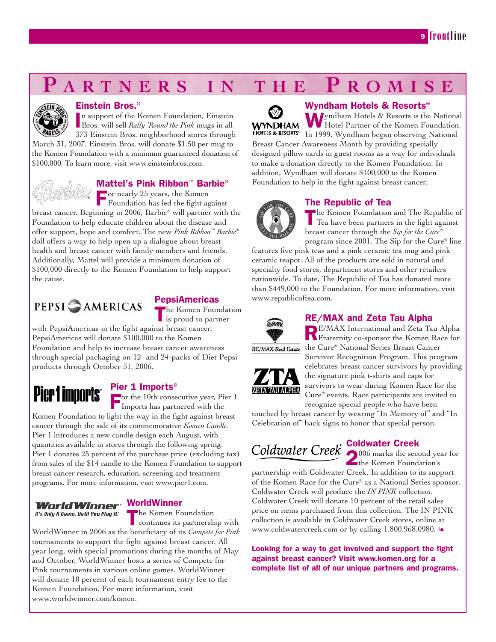

#### Einstein Bros.®

I Bros. will sell *Rally 'Round the Pink* mugs in all n support of the Komen Foundation, Einstein 373 Einstein Bros. neighborhood stores through March 31, 2007. Einstein Bros. will donate \$1.50 per mug to the Komen Foundation with a minimum guaranteed donation of \$100,000. To learn more, visit www.einsteinbros.com.



### Mattel's Pink Ribbon™ Barbie®

For nearly 25 years, the Komen Foundation has led the fight against

breast cancer. Beginning in 2006, Barbie® will partner with the Foundation to help educate children about the disease and offer support, hope and comfort. The new *Pink Ribbon™ Barbie®* doll offers a way to help open up a dialogue about breast health and breast cancer with family members and friends. Additionally, Mattel will provide a minimum donation of \$100,000 directly to the Komen Foundation to help support the cause.

### **PEPSI CAMERICAS**



**The Komen Foundation** is proud to partner

with PepsiAmericas in the fight against breast cancer. PepsiAmericas will donate \$100,000 to the Komen Foundation and help to increase breast cancer awareness through special packaging on 12- and 24-packs of Diet Pepsi products through October 31, 2006.

# Pier 1 imports<sup>.</sup>

### Pier 1 Imports<sup>®</sup>

For the 10th consecutive year, Pier 1 Imports has partnered with the

Komen Foundation to light the way in the fight against breast cancer through the sale of its commemorative *Komen Candle.* Pier 1 introduces a new candle design each August, with quantities available in stores through the following spring. Pier 1 donates 25 percent of the purchase price (excluding tax) from sales of the \$14 candle to the Komen Foundation to support breast cancer research, education, screening and treatment programs. For more information, visit www.pier1.com.

### World Winner WorldWinner

It's Only A Game. Until You Play It."

The Komen Foundation continues its partnership with

WorldWinner in 2006 as the beneficiary of its *Compete for Pink* tournaments to support the fight against breast cancer. All year long, with special promotions during the months of May and October, WorldWinner hosts a series of Compete for Pink tournaments in various online games. WorldWinner will donate 10 percent of each tournament entry fee to the Komen Foundation. For more information, visit www.worldwinner.com/komen.

 $\mathbb{W}$ 

### Wyndham Hotels & Resorts®

Wyndham Hotels & Resorts is the National Hotel Partner of the Komen Foundation. **WYNDHAM HOTELS & RESORTS** In 1999, Wyndham began observing National Breast Cancer Awareness Month by providing specially designed pillow cards in guest rooms as a way for individuals to make a donation directly to the Komen Foundation. In addition, Wyndham will donate \$100,000 to the Komen Foundation to help in the fight against breast cancer.

### The Republic of Tea

The Komen Foundation and The Republic of Tea have been partners in the fight against breast cancer through the *Sip for the Cure®* program since 2001. The Sip for the Cure® line

features five pink teas and a pink ceramic tea mug and pink ceramic teapot. All of the products are sold in natural and specialty food stores, department stores and other retailers nationwide. To date, The Republic of Tea has donated more than \$449,000 to the Foundation. For more information, visit www.republicoftea.com.



### RE/MAX and Zeta Tau Alpha

RE/MAX International and Zeta Tau Alpha Fraternity co-sponsor the Komen Race for RE/MAX Real Estate the Cure® National Series Breast Cancer



Survivor Recognition Program. This program celebrates breast cancer survivors by providing the signature pink t-shirts and caps for survivors to wear during Komen Race for the Cure® events. Race participants are invited to recognize special people who have been

touched by breast cancer by wearing "In Memory of" and "In Celebration of" back signs to honor that special person.

### Coldwater Creek

2006 marks the second year for the Komen Foundation's

partnership with Coldwater Creek. In addition to its support of the Komen Race for the Cure® as a National Series sponsor, Coldwater Creek will produce the *IN PINK* collection. Coldwater Creek will donate 10 percent of the retail sales price on items purchased from this collection. The IN PINK collection is available in Coldwater Creek stores, online at www.coldwatercreek.com or by calling 1.800.968.0980. &

Looking for a way to get involved and support the fight against breast cancer? Visit www.komen.org for a complete list of all of our unique partners and programs.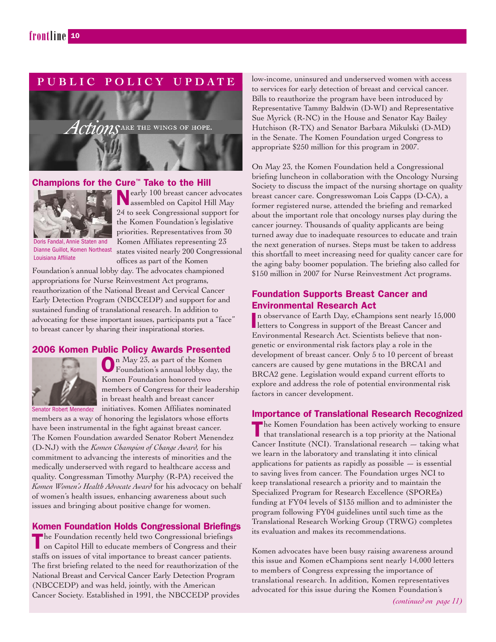### **PUBLIC POLICY UPDATE**



### Champions for the Cure™ Take to the Hill



Nearly 100 breast cancer advocates assembled on Capitol Hill May 24 to seek Congressional support for the Komen Foundation's legislative priorities. Representatives from 30 Komen Affiliates representing 23 states visited nearly 200 Congressional offices as part of the Komen

Doris Fandal, Annie Staten and Dianne Guillot, Komen Northeast Louisiana Affiliate

Foundation's annual lobby day. The advocates championed appropriations for Nurse Reinvestment Act programs, reauthorization of the National Breast and Cervical Cancer Early Detection Program (NBCCEDP) and support for and sustained funding of translational research. In addition to advocating for these important issues, participants put a "face" to breast cancer by sharing their inspirational stories.

### 2006 Komen Public Policy Awards Presented



On May 23, as part of the Komen Foundation's annual lobby day, the Komen Foundation honored two members of Congress for their leadership in breast health and breast cancer

Senator Robert Menendez initiatives. Komen Affiliates nominated members as a way of honoring the legislators whose efforts have been instrumental in the fight against breast cancer. The Komen Foundation awarded Senator Robert Menendez (D-NJ) with the *Komen Champion of Change Award,* for his commitment to advancing the interests of minorities and the medically underserved with regard to healthcare access and quality. Congressman Timothy Murphy (R-PA) received the *Komen Women's Health Advocate Award* for his advocacy on behalf of women's health issues, enhancing awareness about such issues and bringing about positive change for women.

### Komen Foundation Holds Congressional Briefings

The Foundation recently held two Congressional briefings on Capitol Hill to educate members of Congress and their staffs on issues of vital importance to breast cancer patients. The first briefing related to the need for reauthorization of the National Breast and Cervical Cancer Early Detection Program (NBCCEDP) and was held, jointly, with the American Cancer Society. Established in 1991, the NBCCEDP provides low-income, uninsured and underserved women with access to services for early detection of breast and cervical cancer. Bills to reauthorize the program have been introduced by Representative Tammy Baldwin (D-WI) and Representative Sue Myrick (R-NC) in the House and Senator Kay Bailey Hutchison (R-TX) and Senator Barbara Mikulski (D-MD) in the Senate. The Komen Foundation urged Congress to appropriate \$250 million for this program in 2007.

On May 23, the Komen Foundation held a Congressional briefing luncheon in collaboration with the Oncology Nursing Society to discuss the impact of the nursing shortage on quality breast cancer care. Congresswoman Lois Capps (D-CA), a former registered nurse, attended the briefing and remarked about the important role that oncology nurses play during the cancer journey. Thousands of quality applicants are being turned away due to inadequate resources to educate and train the next generation of nurses. Steps must be taken to address this shortfall to meet increasing need for quality cancer care for the aging baby boomer population. The briefing also called for \$150 million in 2007 for Nurse Reinvestment Act programs.

### Foundation Supports Breast Cancer and Environmental Research Act

In observance of Earth Day, eChampions sent nearly 15<br>letters to Congress in support of the Breast Cancer and n observance of Earth Day, eChampions sent nearly 15,000 Environmental Research Act. Scientists believe that nongenetic or environmental risk factors play a role in the development of breast cancer. Only 5 to 10 percent of breast cancers are caused by gene mutations in the BRCA1 and BRCA2 gene. Legislation would expand current efforts to explore and address the role of potential environmental risk factors in cancer development.

### Importance of Translational Research Recognized

The Komen Foundation has been actively working to ensure that translational research is a top priority at the National Cancer Institute (NCI). Translational research — taking what we learn in the laboratory and translating it into clinical applications for patients as rapidly as possible  $-$  is essential to saving lives from cancer. The Foundation urges NCI to keep translational research a priority and to maintain the Specialized Program for Research Excellence (SPOREs) funding at FY04 levels of \$135 million and to administer the program following FY04 guidelines until such time as the Translational Research Working Group (TRWG) completes its evaluation and makes its recommendations.

Komen advocates have been busy raising awareness around this issue and Komen eChampions sent nearly 14,000 letters to members of Congress expressing the importance of translational research. In addition, Komen representatives advocated for this issue during the Komen Foundation's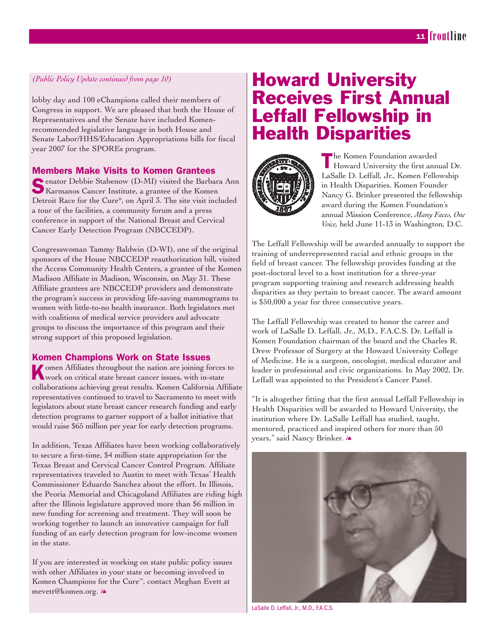### *(Public Policy Update continued from page 10)*

lobby day and 100 eChampions called their members of Congress in support. We are pleased that both the House of Representatives and the Senate have included Komenrecommended legislative language in both House and Senate Labor/HHS/Education Appropriations bills for fiscal year 2007 for the SPOREs program.

### Members Make Visits to Komen Grantees

Senator Debbie Stabenow (D-MI) visited the Barbara Ann Karmanos Cancer Institute, a grantee of the Komen Detroit Race for the Cure®, on April 3. The site visit included a tour of the facilities, a community forum and a press conference in support of the National Breast and Cervical Cancer Early Detection Program (NBCCEDP).

Congresswoman Tammy Baldwin (D-WI), one of the original sponsors of the House NBCCEDP reauthorization bill, visited the Access Community Health Centers, a grantee of the Komen Madison Affiliate in Madison, Wisconsin, on May 31. These Affiliate grantees are NBCCEDP providers and demonstrate the program's success in providing life-saving mammograms to women with little-to-no health insurance. Both legislators met with coalitions of medical service providers and advocate groups to discuss the importance of this program and their strong support of this proposed legislation.

### Komen Champions Work on State Issues

Komen Affiliates throughout the nation are joining forces to work on critical state breast cancer issues, with in-state collaborations achieving great results. Komen California Affiliate representatives continued to travel to Sacramento to meet with legislators about state breast cancer research funding and early detection programs to garner support of a ballot initiative that would raise \$65 million per year for early detection programs.

In addition, Texas Affiliates have been working collaboratively to secure a first-time, \$4 million state appropriation for the Texas Breast and Cervical Cancer Control Program. Affiliate representatives traveled to Austin to meet with Texas' Health Commissioner Eduardo Sanchez about the effort. In Illinois, the Peoria Memorial and Chicagoland Affiliates are riding high after the Illinois legislature approved more than \$6 million in new funding for screening and treatment. They will soon be working together to launch an innovative campaign for full funding of an early detection program for low-income women in the state.

If you are interested in working on state public policy issues with other Affiliates in your state or becoming involved in Komen Champions for the Cure™, contact Meghan Evett at mevett@komen.org. -

### Howard University Receives First Annual Leffall Fellowship in Health Disparities



The Komen Foundation awarded Howard University the first annual Dr. LaSalle D. Leffall, Jr., Komen Fellowship in Health Disparities. Komen Founder Nancy G. Brinker presented the fellowship award during the Komen Foundation's annual Mission Conference, *Many Faces, One Voice,* held June 11-13 in Washington, D.C.

The Leffall Fellowship will be awarded annually to support the training of underrepresented racial and ethnic groups in the field of breast cancer. The fellowship provides funding at the post-doctoral level to a host institution for a three-year program supporting training and research addressing health disparities as they pertain to breast cancer. The award amount is \$50,000 a year for three consecutive years.

The Leffall Fellowship was created to honor the career and work of LaSalle D. Leffall, Jr., M.D., F.A.C.S. Dr. Leffall is Komen Foundation chairman of the board and the Charles R. Drew Professor of Surgery at the Howard University College of Medicine. He is a surgeon, oncologist, medical educator and leader in professional and civic organizations. In May 2002, Dr. Leffall was appointed to the President's Cancer Panel.

"It is altogether fitting that the first annual Leffall Fellowship in Health Disparities will be awarded to Howard University, the institution where Dr. LaSalle Leffall has studied, taught, mentored, practiced and inspired others for more than 50 years," said Nancy Brinker. &



LaSalle D. Leffall, Jr., M.D., F.A.C.S.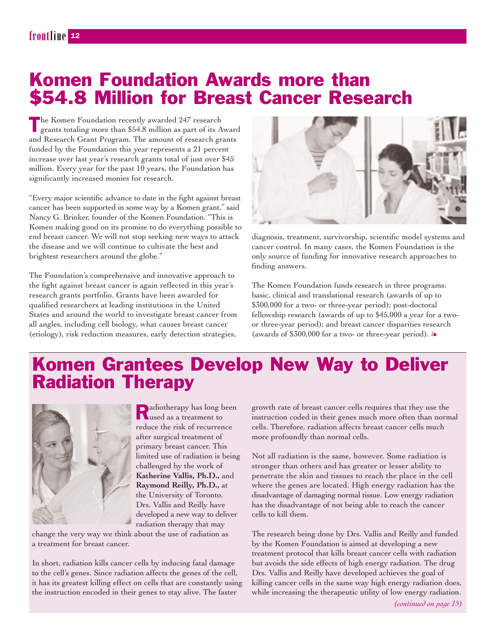### Komen Foundation Awards more than \$54.8 Million for Breast Cancer Research

The Komen Foundation recently awarded 247 research grants totaling more than \$54.8 million as part of its Award and Research Grant Program. The amount of research grants funded by the Foundation this year represents a 21 percent increase over last year's research grants total of just over \$45 million. Every year for the past 10 years, the Foundation has significantly increased monies for research.

"Every major scientific advance to date in the fight against breast cancer has been supported in some way by a Komen grant," said Nancy G. Brinker, founder of the Komen Foundation. "This is Komen making good on its promise to do everything possible to end breast cancer. We will not stop seeking new ways to attack the disease and we will continue to cultivate the best and brightest researchers around the globe."

The Foundation's comprehensive and innovative approach to the fight against breast cancer is again reflected in this year's research grants portfolio. Grants have been awarded for qualified researchers at leading institutions in the United States and around the world to investigate breast cancer from all angles, including cell biology, what causes breast cancer (etiology), risk reduction measures, early detection strategies,



diagnosis, treatment, survivorship, scientific model systems and cancer control. In many cases, the Komen Foundation is the only source of funding for innovative research approaches to finding answers.

The Komen Foundation funds research in three programs: basic, clinical and translational research (awards of up to \$300,000 for a two- or three-year period); post-doctoral fellowship research (awards of up to \$45,000 a year for a twoor three-year period); and breast cancer disparities research (awards of \$300,000 for a two- or three-year period).  $\clubsuit$ 

## Komen Grantees Develop New Way to Deliver Radiation Therapy



Radiotherapy has long been used as a treatment to reduce the risk of recurrence after surgical treatment of primary breast cancer. This limited use of radiation is being challenged by the work of **Katherine Vallis, Ph.D.,** and **Raymond Reilly, Ph.D.,** at the University of Toronto. Drs. Vallis and Reilly have developed a new way to deliver radiation therapy that may

change the very way we think about the use of radiation as a treatment for breast cancer.

In short, radiation kills cancer cells by inducing fatal damage to the cell's genes. Since radiation affects the genes of the cell, it has its greatest killing effect on cells that are constantly using the instruction encoded in their genes to stay alive. The faster

growth rate of breast cancer cells requires that they use the instruction coded in their genes much more often than normal cells. Therefore, radiation affects breast cancer cells much more profoundly than normal cells.

Not all radiation is the same, however. Some radiation is stronger than others and has greater or lesser ability to penetrate the skin and tissues to reach the place in the cell where the genes are located. High energy radiation has the disadvantage of damaging normal tissue. Low energy radiation has the disadvantage of not being able to reach the cancer cells to kill them.

The research being done by Drs. Vallis and Reilly and funded by the Komen Foundation is aimed at developing a new treatment protocol that kills breast cancer cells with radiation but avoids the side effects of high energy radiation. The drug Drs. Vallis and Reilly have developed achieves the goal of killing cancer cells in the same way high energy radiation does, while increasing the therapeutic utility of low energy radiation.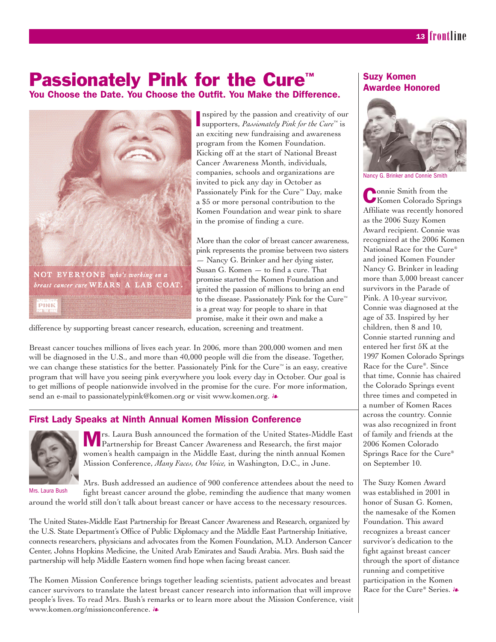## Passionately Pink for the Cure<sup>™</sup>

You Choose the Date. You Choose the Outfit. You Make the Difference.



I supporters, *Passionately Pink for the Cure™* is nspired by the passion and creativity of our an exciting new fundraising and awareness program from the Komen Foundation. Kicking off at the start of National Breast Cancer Awareness Month, individuals, companies, schools and organizations are invited to pick any day in October as Passionately Pink for the Cure<sup>™</sup> Day, make a \$5 or more personal contribution to the Komen Foundation and wear pink to share in the promise of finding a cure.

More than the color of breast cancer awareness, pink represents the promise between two sisters — Nancy G. Brinker and her dying sister, Susan G. Komen — to find a cure. That promise started the Komen Foundation and ignited the passion of millions to bring an end to the disease. Passionately Pink for the Cure™ is a great way for people to share in that promise, make it their own and make a

difference by supporting breast cancer research, education, screening and treatment.

Breast cancer touches millions of lives each year. In 2006, more than 200,000 women and men will be diagnosed in the U.S., and more than 40,000 people will die from the disease. Together, we can change these statistics for the better. Passionately Pink for the Cure™ is an easy, creative program that will have you seeing pink everywhere you look every day in October. Our goal is to get millions of people nationwide involved in the promise for the cure. For more information, send an e-mail to passionatelypink@komen.org or visit www.komen.org.  $\ast$ 

### First Lady Speaks at Ninth Annual Komen Mission Conference



Mrs. Laura Bush announced the formation of the United States-Middle East Partnership for Breast Cancer Awareness and Research, the first major women's health campaign in the Middle East, during the ninth annual Komen Mission Conference, *Many Faces, One Voice,* in Washington, D.C., in June.

Mrs. Bush addressed an audience of 900 conference attendees about the need to fight breast cancer around the globe, reminding the audience that many women around the world still don't talk about breast cancer or have access to the necessary resources. Mrs. Laura Bush

The United States-Middle East Partnership for Breast Cancer Awareness and Research, organized by the U.S. State Department's Office of Public Diplomacy and the Middle East Partnership Initiative, connects researchers, physicians and advocates from the Komen Foundation, M.D. Anderson Cancer Center, Johns Hopkins Medicine, the United Arab Emirates and Saudi Arabia. Mrs. Bush said the partnership will help Middle Eastern women find hope when facing breast cancer.

The Komen Mission Conference brings together leading scientists, patient advocates and breast cancer survivors to translate the latest breast cancer research into information that will improve people's lives. To read Mrs. Bush's remarks or to learn more about the Mission Conference, visit www.komen.org/missionconference.  $\clubsuit$ 

### Suzy Komen Awardee Honored



Nancy G. Brinker and Connie Smith

Connie Smith from the Komen Colorado Springs Affiliate was recently honored as the 2006 Suzy Komen Award recipient. Connie was recognized at the 2006 Komen National Race for the Cure® and joined Komen Founder Nancy G. Brinker in leading more than 3,000 breast cancer survivors in the Parade of Pink. A 10-year survivor, Connie was diagnosed at the age of 33. Inspired by her children, then 8 and 10, Connie started running and entered her first 5K at the 1997 Komen Colorado Springs Race for the Cure®. Since that time, Connie has chaired the Colorado Springs event three times and competed in a number of Komen Races across the country. Connie was also recognized in front of family and friends at the 2006 Komen Colorado Springs Race for the Cure® on September 10.

The Suzy Komen Award was established in 2001 in honor of Susan G. Komen, the namesake of the Komen Foundation. This award recognizes a breast cancer survivor's dedication to the fight against breast cancer through the sport of distance running and competitive participation in the Komen Race for the Cure® Series. &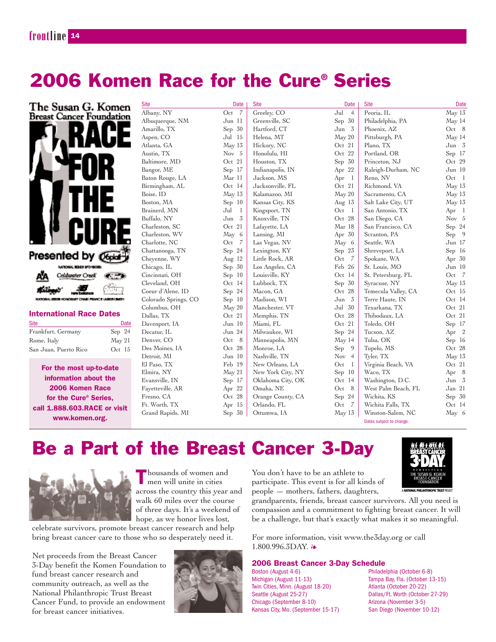### **frontline** <sup>214</sup>

## 2006 Komen Race for the Cure® Series



| <b>Site</b>           |                 | Date |
|-----------------------|-----------------|------|
| Frankfurt, Germany    | Sep $24$        |      |
| Rome, Italy           | $\text{May }21$ |      |
| San Juan, Puerto Rico | Oct $15$        |      |

For the most up-to-date information about the 2006 Komen Race for the Cure® Series, call 1.888.603.RACE or visit www.komen.org.

| Site                 | Date       | <b>Site</b>       | Date                  | <b>Site</b>         | Date                  |
|----------------------|------------|-------------------|-----------------------|---------------------|-----------------------|
| Albany, NY           | Oct<br>- 7 | Greeley, CO       | Jul<br>$\overline{4}$ | Peoria, IL          | May 13                |
| Albuquerque, NM      | Jun 11     | Greenville, SC    | Sep 30                | Philadelphia, PA    | May 14                |
| Amarillo, TX         | Sep $30$   | Hartford, CT      | $Jun \quad 3$         | Phoenix, AZ         | Oct 8                 |
| Aspen, CO            | Jul 15     | Helena, MT        | May 20                | Pittsburgh, PA      | May 14                |
| Atlanta, GA          | May 13     | Hickory, NC       | Oct 21                | Plano, TX           | Jun 3                 |
| Austin, TX           | Nov 5      | Honolulu, HI      | Oct 22                | Portland, OR        | Sep 17                |
| Baltimore, MD        | Oct 21     | Houston, TX       | Sep $30$              | Princeton, NJ       | Oct $29$              |
| Bangor, ME           | Sep 17     | Indianapolis, IN  | Apr $22$              | Raleigh-Durham, NC  | Jun 10                |
| Baton Rouge, LA      | Mar 11     | Jackson, MS       | Apr $1$               | Reno, NV            | Oct<br>$\mathbf{1}$   |
| Birmingham, AL       | Oct 14     | Jacksonville, FL  | Oct 21                | Richmond, VA        | May 13                |
| Boise, ID            | May 13     | Kalamazoo, MI     | May 20                | Sacramento, CA      | May 13                |
| Boston, MA           | Sep 10     | Kansas City, KS   | Aug $13$              | Salt Lake City, UT  | May 13                |
| Brainerd, MN         | Jul<br>1   | Kingsport, TN     | Oct<br>$\mathbf{1}$   | San Antonio, TX     | Apr<br>- 1            |
| Buffalo, NY          | 3<br>Jun   | Knoxville, TN     | Oct 28                | San Diego, CA       | Nov 5                 |
| Charleston, SC       | Oct 21     | Lafayette, LA     | Mar 18                | San Francisco, CA   | Sep $24$              |
| Charleston, WV       | May 6      | Lansing, MI       | Apr $30$              | Scranton, PA        | Sep<br>- 9            |
| Charlotte, NC        | Oct<br>- 7 | Las Vegas, NV     | May 6                 | Seattle, WA         | Jun 17                |
| Chattanooga, TN      | Sep 24     | Lexington, KY     | Sep $23$              | Shreveport, LA      | Sep 16                |
| Cheyenne, WY         | Aug 12     | Little Rock, AR   | Oct<br>- 7            | Spokane, WA         | Apr $30$              |
| Chicago, IL          | Sep 30     | Los Angeles, CA   | Feb 26                | St. Louis, MO       | Jun 10                |
| Cincinnati, OH       | Sep 10     | Louisville, KY    | Oct 14                | St. Petersburg, FL  | $Oct \t 7$            |
| Cleveland, OH        | Oct 14     | Lubbock, TX       | Sep $30$              | Syracuse, NY        | May 13                |
| Coeur d'Alene, ID    | Sep 24     | Macon, GA         | Oct 28                | Temecula Valley, CA | Oct 15                |
| Colorado Springs, CO | Sep 10     | Madison, WI       | Jun $3$               | Terre Haute, IN     | Oct 14                |
| Columbus, OH         | May 20     | Manchester, VT    | Jul 30                | Texarkana, TX       | Oct 21                |
| Dallas, TX           | Oct 21     | Memphis, TN       | Oct 28                | Thibodaux, LA       | Oct 21                |
| Davenport, IA        | Jun 10     | Miami, FL         | Oct 21                | Toledo, OH          | Sep 17                |
| Decatur, IL          | Jun 24     | Milwaukee, WI     | Sep $24$              | Tucson, AZ          | Apr<br>$\overline{2}$ |
| Denver, CO           | Oct<br>- 8 | Minneapolis, MN   | May 14                | Tulsa, OK           | Sep 16                |
| Des Moines, IA       | Oct 28     | Monroe, LA        | Sep 9                 | Tupelo, MS          | Oct 28                |
| Detroit, MI          | Jun 10     | Nashville, TN     | Nov $4$               | Tyler, TX           | May 13                |
| El Paso, TX          | Feb 19     | New Orleans, LA   | Oct<br>- 1            | Virginia Beach, VA  | Oct 21                |
| Elmira, NY           | May 21     | New York City, NY | Sep 10                | Waco, TX            | Apr 8                 |
| Evansville, IN       | Sep 17     | Oklahoma City, OK | Oct 14                | Washington, D.C.    | Jun 3                 |
| Fayetteville, AR     | Apr 22     | Omaha, NE         | - 8<br>Oct            | West Palm Beach, FL | Jan 21                |
| Fresno, CA           | Oct 28     | Orange County, CA | Sep 24                | Wichita, KS         | Sep $30$              |
| Ft. Worth, TX        | Apr $15$   | Orlando, FL       | Oct<br>- 7            | Wichita Falls, TX   | Oct 14                |
| Grand Rapids, MI     | Sep 30     | Ottumwa, IA       | May 13                | Winston-Salem, NC   | May 6                 |

Dates subject to change.

## Be a Part of the Breast Cancer 3-Day



Thousands of women and men will unite in cities across the country this year and walk 60 miles over the course of three days. It's a weekend of hope, as we honor lives lost,

celebrate survivors, promote breast cancer research and help bring breast cancer care to those who so desperately need it.

Net proceeds from the Breast Cancer 3-Day benefit the Komen Foundation to fund breast cancer research and community outreach, as well as the National Philanthropic Trust Breast Cancer Fund, to provide an endowment for breast cancer initiatives.



You don't have to be an athlete to participate. This event is for all kinds of people — mothers, fathers, daughters,

grandparents, friends, breast cancer survivors. All you need is compassion and a commitment to fighting breast cancer. It will be a challenge, but that's exactly what makes it so meaningful.

For more information, visit www.the3day.org or call  $1.800.996.3$ DAY.  $\&$ 

#### 2006 Breast Cancer 3-Day Schedule

Boston (August 4-6) Philadelphia (October 6-8) Michigan (August 11-13) Tampa Bay, Fla. (October 13-15) Twin Cities, Minn. (August 18-20) Atlanta (October 20-22) Seattle (August 25-27) Dallas/Ft. Worth (October 27-29)<br>Chicago (September 8-10) Arizona (November 3-5) Chicago (September 8-10) Kansas City, Mo. (September 15-17) San Diego (November 10-12)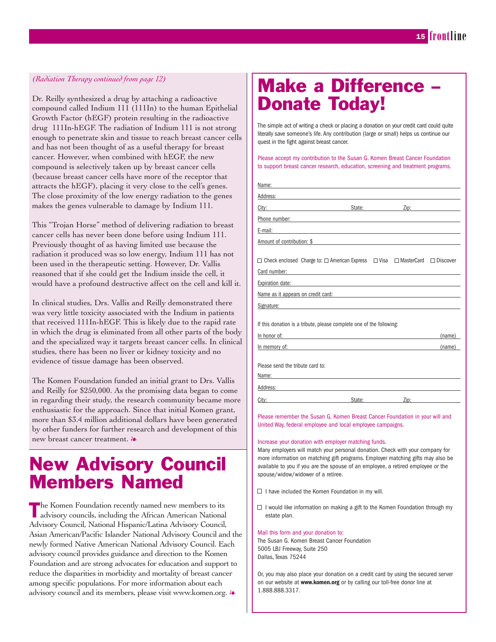### *(Radiation Therapy continued from page 12)*

Dr. Reilly synthesized a drug by attaching a radioactive compound called Indium 111 (111In) to the human Epithelial Growth Factor (hEGF) protein resulting in the radioactive drug 111In-hEGF. The radiation of Indium 111 is not strong enough to penetrate skin and tissue to reach breast cancer cells and has not been thought of as a useful therapy for breast cancer. However, when combined with hEGF, the new compound is selectively taken up by breast cancer cells (because breast cancer cells have more of the receptor that attracts the hEGF), placing it very close to the cell's genes. The close proximity of the low energy radiation to the genes makes the genes vulnerable to damage by Indium 111.

This "Trojan Horse" method of delivering radiation to breast cancer cells has never been done before using Indium 111. Previously thought of as having limited use because the radiation it produced was so low energy, Indium 111 has not been used in the therapeutic setting. However, Dr. Vallis reasoned that if she could get the Indium inside the cell, it would have a profound destructive affect on the cell and kill it.

In clinical studies, Drs. Vallis and Reilly demonstrated there was very little toxicity associated with the Indium in patients that received 111In-hEGF. This is likely due to the rapid rate in which the drug is eliminated from all other parts of the body and the specialized way it targets breast cancer cells. In clinical studies, there has been no liver or kidney toxicity and no evidence of tissue damage has been observed.

The Komen Foundation funded an initial grant to Drs. Vallis and Reilly for \$250,000. As the promising data began to come in regarding their study, the research community became more enthusiastic for the approach. Since that initial Komen grant, more than \$3.4 million additional dollars have been generated by other funders for further research and development of this new breast cancer treatment.  $\partial$ 

### New Advisory Council Members Named

The Komen Foundation recently named new members to its<br>advisory councils, including the African American National Advisory Council, National Hispanic/Latina Advisory Council, Asian American/Pacific Islander National Advisory Council and the newly formed Native American National Advisory Council. Each advisory council provides guidance and direction to the Komen Foundation and are strong advocates for education and support to reduce the disparities in morbidity and mortality of breast cancer among specific populations. For more information about each advisory council and its members, please visit www.komen.org.  $\ast$ 

### Make a Difference – Donate Today!

The simple act of writing a check or placing a donation on your credit card could quite literally save someone's life. Any contribution (large or small) helps us continue our quest in the fight against breast cancer.

Please accept my contribution to the Susan G. Komen Breast Cancer Foundation to support breast cancer research, education, screening and treatment programs.

| Name:                                                                                                                                                                                                                          |                                                                                                                                                                                                                                |              |                 |  |
|--------------------------------------------------------------------------------------------------------------------------------------------------------------------------------------------------------------------------------|--------------------------------------------------------------------------------------------------------------------------------------------------------------------------------------------------------------------------------|--------------|-----------------|--|
|                                                                                                                                                                                                                                |                                                                                                                                                                                                                                |              |                 |  |
| City: <b>City</b> :                                                                                                                                                                                                            | State: and the state of the state of the state of the state of the state of the state of the state of the state of the state of the state of the state of the state of the state of the state of the state of the state of the |              | $\mathsf{Zip:}$ |  |
| Phone number: and a state of the state of the state of the state of the state of the state of the state of the                                                                                                                 |                                                                                                                                                                                                                                |              |                 |  |
| E-mail:<br>the control of the control of the control of the control of the control of the control of                                                                                                                           |                                                                                                                                                                                                                                |              |                 |  |
| Amount of contribution: \$                                                                                                                                                                                                     |                                                                                                                                                                                                                                |              |                 |  |
| $\Box$ Check enclosed Charge to: $\Box$ American Express $\Box$ Visa<br>Card number:<br><u> 1989 - Johann John Stein, markin film yn y brening yn y brening yn y brening yn y brening yn y brening yn y b</u>                  |                                                                                                                                                                                                                                | □ MasterCard | $\Box$ Discover |  |
| Expiration date: Note: Note: Note: Note: Note: Note: Note: Note: Note: Note: Note: Note: Note: Note: Note: Note: Note: Note: Note: Note: Note: Note: Note: Note: Note: Note: Note: Note: Note: Note: Note: Note: Note: Note: N |                                                                                                                                                                                                                                |              |                 |  |
| Name as it appears on credit card: Name and Solid Contract on the series of the series of the series of the series of the series of the series of the series of the series of the series of the series of the series of the se |                                                                                                                                                                                                                                |              |                 |  |
| Signature: the contract of the contract of the contract of the contract of the contract of the contract of the contract of the contract of the contract of the contract of the contract of the contract of the contract of the |                                                                                                                                                                                                                                |              |                 |  |
| If this donation is a tribute, please complete one of the following:                                                                                                                                                           |                                                                                                                                                                                                                                |              |                 |  |
| In honor of:<br><u> 1980 - Jan Sterling, mars and de la population de la population de la population de la population de la popu</u>                                                                                           |                                                                                                                                                                                                                                |              | (name)          |  |
| In memory of: the contract of the contract of the contract of the contract of the contract of the contract of the contract of the contract of the contract of the contract of the contract of the contract of the contract of  |                                                                                                                                                                                                                                |              | (name)          |  |
| Please send the tribute card to:<br>Name:<br>the control of the control of the control of the control of the control of the control of                                                                                         |                                                                                                                                                                                                                                |              |                 |  |
|                                                                                                                                                                                                                                |                                                                                                                                                                                                                                |              |                 |  |
| City:                                                                                                                                                                                                                          | State:                                                                                                                                                                                                                         | Zip:         |                 |  |

Please remember the Susan G. Komen Breast Cancer Foundation in your will and United Way, federal employee and local employee campaigns.

#### Increase your donation with employer matching funds.

Many employers will match your personal donation. Check with your company for more information on matching gift programs. Employer matching gifts may also be available to you if you are the spouse of an employee, a retired employee or the spouse/widow/widower of a retiree.

- $\Box$  I have included the Komen Foundation in my will.
- $\Box$  I would like information on making a gift to the Komen Foundation through my estate plan.

#### Mail this form and your donation to:

The Susan G. Komen Breast Cancer Foundation 5005 LBJ Freeway, Suite 250 Dallas, Texas 75244

Or, you may also place your donation on a credit card by using the secured server on our website at **www.komen.org** or by calling our toll-free donor line at 1.888.888.3317.